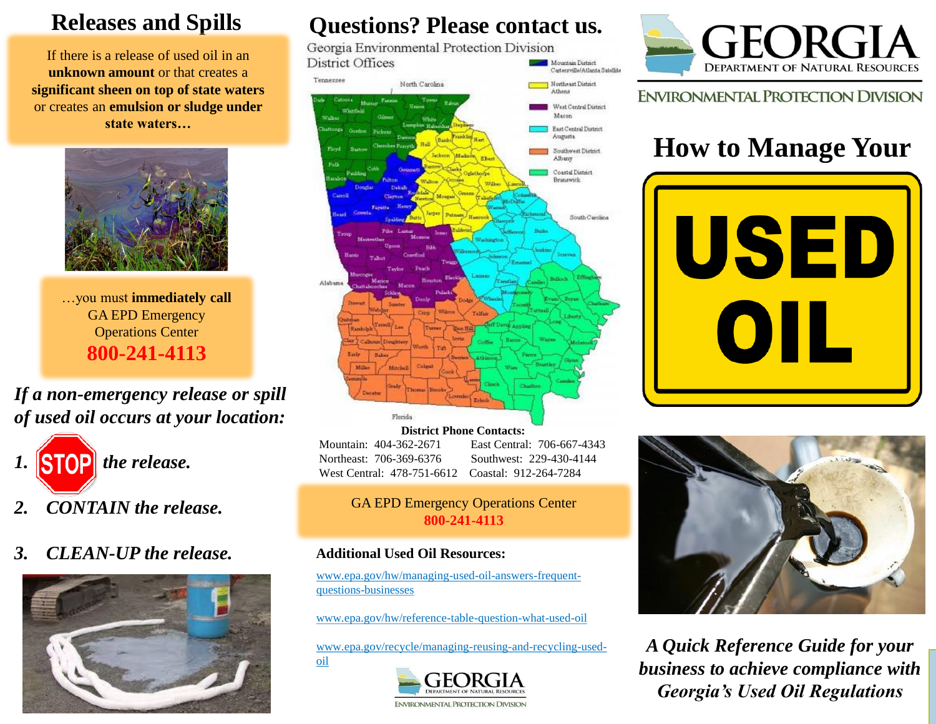## **Releases and Spills**

If there is a release of used oil in an **unknown amount** or that creates a **significant sheen on top of state waters** or creates an **emulsion or sludge under state waters…**



…you must **immediately call**  GA EPD Emergency Operations Center **800-241-4113**

*If a non-emergency release or spill of used oil occurs at your location:*



- *2. CONTAIN the release.*
- *3. CLEAN-UP the release.*



# **Questions? Please contact us.**<br>Georgia Environmental Protection Division

District Offices Mountain District Cartersville/Atlanta Satellite



**District Phone Contacts:** Mountain: 404-362-2671 East Central: 706-667-4343 Northeast: 706-369-6376 Southwest: 229-430-4144 West Central: 478-751-6612 Coastal: 912-264-7284

#### GA EPD Emergency Operations Center **800-241-4113**

#### **Additional Used Oil Resources:**

oil

www.epa.gov/hw/managing-used-oil-answers-frequentquestions-businesses

www.epa.gov/hw/reference-table-question-what-used-oil

www.epa.gov/recycle/managing-reusing-and-recycling-used-





**ENVIRONMENTAL PROTECTION DIVISION** 

# **How to Manage Your**





*A Quick Reference Guide for your business to achieve compliance with Georgia's Used Oil Regulations*